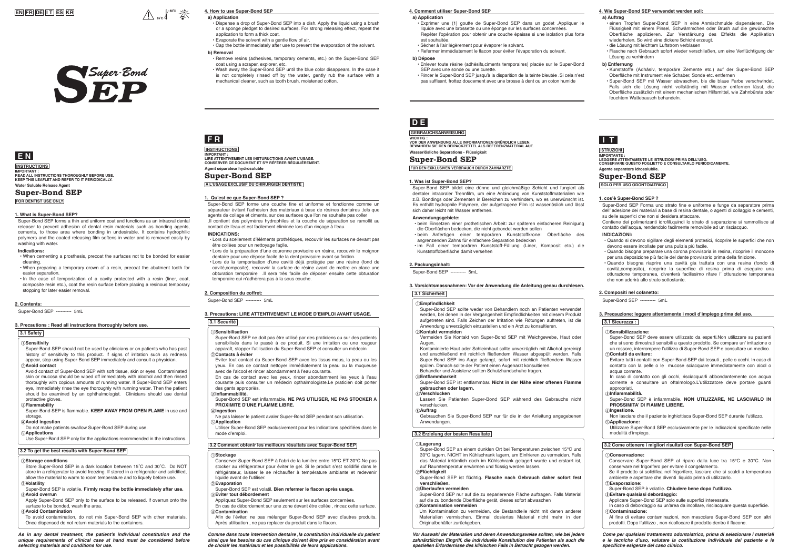# **EN FR DE I T ES KR**





# **Super-Bond SEP**

# **INSTRUCTIONS**

**Water Soluble Release Agent IMPORTANT : READ ALL INSTRUCTIONS THOROUGHLY BEFORE USE. KEEP THIS LEAFLET AND REFER TO IT PERIODICALLY.** 

**FOR DENTIST USE ONLY**

- When cementing a prosthesis, precoat the surfaces not to be bonded for easier cleaning.
- When preparing a temporary crown of a resin, precoat the abutment tooth for easier separation.
- In the case of temporization of a cavity protected with a resin (liner, coat, composite resin etc.), coat the resin surface before placing a resinous temporary stopping for later easier removal.

Super-Bond SEP forms a thin and uniform coat and functions as an intraoral dental releaser to prevent adhesion of dental resin materials such as bonding agents, cements, to those area where bonding in undesirable. It contains hydrophilic polymers and the coated releasing film softens in water and is removed easily by washing with water.

#### **Indications:**

### **1. What is Super-Bond SEP?**

# **a) Application**

- Dispense a drop of Super-Bond SEP into a dish. Apply the liquid using a brush or a sponge pledget to desired surfaces. For strong releasing effect, repeat the application to form a thick coat.
- Evaporate the solvent with a gentle flow of air.
- Cap the bottle immediately after use to prevent the evaporation of the solvent. **b) Removal**

 $\bigwedge_{15^{\circ} \text{c}} \int_{30^{\circ} \text{c}}^{30^{\circ} \text{c}} \frac{3}{\sqrt{25}}$ 

- Remove resins (adhesives, temporary cements, etc.) on the Super-Bond SEP coat using a scraper, explorer, etc.
- Wash away the Super-Bond SEP until the blue color disappears. In the case it is not completely rinsed off by the water, gently rub the surface with a mechanical cleaner, such as tooth brush, moistened cotton.

# **4. How to use Super-Bond SEP**

# **a) Application**

WICHTIG :<br>VOR DER ANWENDUNG ALLE INFORMATIONEN GRÜNDLICH LESEN.<br>BEWAHREN SIE DEN BEIPACKZETTEL ALS REFERENZMATERIAL AUF. **Wasserlösliche Separations - Flüssigkeit**

- Exprimer une (1) goutte de Super-Bond SEP dans un godet .Appliquer le liquide avec une brossette ou une éponge sur les surfaces concernées. Repéter l'opération pour obtenir une couche épaisse si une isolation plus forte est souhaitée.
- Sécher à l'air légèrement pour évaporer le solvant.
- Refermer immédiatement le flacon pour éviter l'évaporation du solvant.

- Super-Bond SEP should not be used by clinicians or on patients who has past history of sensitivity to this product. If signs of irritation such as redness appear, stop using Super-Bond SEP immediately and consult a physician. **Avoid contact**
- Avoid contact of Super-Bond SEP with soft tissue, skin or eyes. Contaminated skin or mucosa should be wiped off immediately with alcohol and then rinsed thoroughly with copious amounts of running water. If Super-Bond SEP enters eye, immediately rinse the eye thoroughly with running water. Then the patient should be examined by an ophthalmologist. Clinicians should use dental protective gloves

#### **b) Dépose**

- Enlever toute résine (adhésifs,ciments temporaires) placée sur le Super-Bond SEP avec une sonde ou une curette.
- Rincer le Super-Bond SEP jusqu'à la disparition de la teinte bleutée .Si cela n'est pas suffisant, frottez doucement avec une brosse à dent ou un coton humide

### **4. Comment utiliser Super-Bond SEP**

#### **a) Auftrag**

- einen Tropfen Super-Bond SEP in eine Anmischmulde dispensieren. Die Flüssigkeit mit einem Pinsel, Schwämmchen oder Brush auf die gewünschte Oberfläche applizieren. Zur Verstärkung des Effekts die Applikation wiederholen. So wird eine dickere Schicht erzeugt.
- die Lösung mit leichtem Luftstrom verblasen
- Flasche nach Gebrauch sofort wieder verschließen, um eine Verflüchtigung der Lösung zu verhindern

#### **b) Entfernung**

- Kunststoffe (Adhäsiv, temporäre Zemente etc.) auf der Super-Bond SEP Oberfläche mit Instrument wie Schaber, Sonde etc. entferner
- Super-Bond SEP mit Wasser abwaschen, bis die blaue Farbe verschwindet. Falls sich die Lösung nicht vollständig mit Wasser entfernen lässt, die Oberfläche zusätzlich mit einem mechanischen Hilfsmittel, wie Zahnbürste oder feuchtem Wattebausch behandeln.

#### **4. Wie Super-Bond SEP verwendet werden soll:**

# **INSTRUCTIONS**

# **F R**

# **Super-Bond SEP**

**Agent séparateur hydrosoluble IMPORTANT : LIRE ATTENTIVEMENT LES INSTURUCTIONS AVANT L'USAGE. CONSERVER CE DOCUMENT ET S'Y RÉFÉRER RÉGULIÈREMENT.**

**A L'USAGE EXCLUSIF DU CHIRURGIEN DENTISTE**

# **2. Contents:**

Super-Bond SEP ---------- 5mL

# **D E**

## **GEBRAUCHSANWEISUNG**

# **Super-Bond SEP**

**FÜR DEN EXKLUSIVEN VERBRAUCH DURCH ZAHNÄRZTE**



# **Super-Bond SEP**

**Agente separatore idrosolubile. ISTRUZIONI IMPORTANTE : LEGGERE ATTENTAMENTE LE ISTRUZIONI PRIMA DELL'USO. CONSERVARE QUESTO FOGLIETTO E CONSULTARLO PERIODICAMENTE.**

**SOLO PER USO ODONTOIATRICO**

### **3. Precautions : Read all instructions thoroughly before use.**

### **3.1 Safety**

**Sensitivity**

#### **Flammability**

Super-Bond SEP is flammable. **KEEP AWAY FROM OPEN FLAME** in use and storage.

#### **Avoid ingestion**

Do not make patients swallow Super-Bond SEP during use.

#### **Applications**

Use Super-Bond SEP only for the applications recommended in the instructions.

### **3.2 To get the best results with Super-Bond SEP**

#### **Storage conditions**

Store Super-Bond SEP in a dark location between 15˚C and 30˚C. Do NOT store in a refrigerator to avoid freezing. If stored in a refrigerator and solidified, allow the material to warm to room temperature and to liquefy before use. **Volatility**

- Super-Bond SEP is volatile. **Firmly recap the bottle immediately after use. Avoid overrun**
- Apply Super-Bond SEP only to the surface to be released. If overrun onto the surface to be bonded, wash the area.
- **Avoid Contamination**
- To avoid contamination, do not mix Super-Bond SEP with other materials. Once dispensed do not return materials to the containers.

#### *As in any dental treatment, the patient's individual constitution and the unique requirements of clinical case at hand must be considered before selecting materials and conditions for use.*

Super-Bond SEP forme une couche fine et uniforme et fonctionne comme un séparateur évitant l'adhésion des matériaux à base de résines dentaires ,tels que agents de collage et ciments, sur des surfaces que l'on ne souhaite pas coller .Il contient des polymères hydrophiles et la couche de séparation se ramollit au contact de l'eau et est facilement éliminée lors d'un rinçage à l'eau.

Contiene dei polimerizanti idrofili quindi lo strato di separazione si rammollisce all contatto dell'acqua, rendendolo facilmente removibile ad un risciacquo.

#### **INDICATIONS:**

- Lors du scellement d'éléments prothétiques, recouvrir les surfaces ne devant pas être collées pour un nettoyage façile.
- Lors de la préparation d'une couronne provisoire en résine, recouvrir le moignon dentaire pour une dépose facile de la dent provisoire avant sa finition.
- Lors de la temporisation d'une cavité déjà protégée par une résine (fond de cavité,composite), recouvrir la surface de résine avant de mettre en place une obturation temporaire .Il sera très facile de déposer ensuite cette obturation temporaire qui n'adhérera pas à la sous couche.

# **1. Qu'est ce que Super-Bond SEP ?**

#### **2. Composition du coffret:**

Super-Bond SEP ---------- 5mL

# **3. Precautions: LIRE ATTENTIVEMENT LE MODE D'EMPLOI AVANT USAGE.**

# **3.1 Securité**

- **Sensibilisation**
- Super-Bond SEP ne doit pas être utilisé par des praticiens ou sur des patients sensibilisés dans le passé à ce produit. Si une irritation ou une rougeur apparaît, stopper l'utilisation du Super-Bond SEP et consulter un médecin **Contacts à éviter**
- Eviter tout contact du Super-Bond SEP avec les tissus mous, la peau ou les yeux. En cas de contact nettoyer immédiatement la peau ou la muqueuse avec de l'alcool et rincer abondamment à l'eau courante.
- En cas de contact avec les yeux, rincer abondamment les yeux à l'eau courante puis consulter un médecin opthalmologiste.Le praticien doit porter des gants appropriés.

#### **Inflammabilité.**

Super-Bond SEP est inflammable. **NE PAS UTILISER, NE PAS STOCKER A PROXIMITE D'UNE FLAMME LIBRE.** 

#### **Ingestion**

- Ne pas laisser le patient avaler Super-Bond SEP pendant son utilisation. **Application**
- Utiliser Super-Bond SEP exclusivement pour les indications spécifiées dans le mode d'emploi.

### **3.2 Comment obtenir les meilleurs résultats avec Super-Bond SEP**

#### **Stockage**

Conserver Super-Bond SEP à l'abri de la lumière entre 15°C ET 30°C.Ne pas stocker au réfrigerateur pour éviter le gel. Si le produit s'est solidifié dans le réfrigérateur, laisser le se réchauffer à température ambiante et redevenir liquide avant de l'utiliser.

#### **Evaporation**

Super-Bond SEP est volatil. **Bien refermer le flacon après usage.**

#### *<u>Eviter tout débordement</u>*

Appliquez Super-Bond SEP seulement sur les surfaces concernées. En cas de débordement sur une zone devant être collée , rincez cette surface. **Contamination**

Afin de l'éviter, ne pas mélanger Super-Bond SEP avec d'autres produits. Après utilisation , ne pas replacer du produit dans le flacon.

*Comme dans toute intervention dentaire ,la constitution individuelle du patient ainsi que les besoins du cas clinique doivent être pris en considération avant de choisir les matériaux et les possibilités de leurs applications.*

Super-Bond SEP bildet eine dünne und gleichmäßige Schicht und fungiert als dentaler intraoraler Trennfilm, um eine Anbindung von Kunststoffmaterialien wie z.B. Bondings oder Zementen in Bereichen zu verhindern, wo es unerwünscht ist. Es enthält hydrophile Polymere, der aufgetragene Film ist wasserlöslich und lässt sich daher leicht mit Wasser entfernen.

#### **Anwendungsgebiete:**

- beim Einsetzen einer prothetischen Arbeit: zur späteren einfacheren Reinigung die Oberflächen bedecken, die nicht gebondet werden sollen
- beim Anfertigen einer temporären Kunststoffkrone: Oberfläche des angrenzenden Zahns für einfachere Separation bedecken
- im Fall einer temporären Kunststoff-Füllung (Liner, Komposit etc.) die Kunststoffoberfläche damit versehen

#### **1. Was ist Super-Bond SEP?**

#### **2. Packungsinhalt:**

Super-Bond SEP ---------- 5mL

# **3. Vorsichtsmassnahmen: Vor der Anwendung die Anleitung genau durchlesen. 3.1 Sicherheit**

#### **Empfindlichkeit**

Super-Bond SEP sollte weder von Behandlern noch an Patienten verwendet werden, bei denen in der Vergangenheit Empfindlichkeiten mit diesem Produkt aufgetreten sind. Falls Zeichen der Irritation wie Rötungen auftreten, ist die Anwendung unverzüglich einzustellen und ein Arzt zu konsultieren.

#### **Kontakt vermeiden** Vermeiden Sie Kontakt von Super-Bond SEP mit Weichgewebe, Haut oder

Augen.

Kontaminierte Haut oder Schleimhaut sollte unverzüglich mit Alkohol gereinigt und anschließend mit reichlich fließendem Wasser abgespült werden. Falls Super-Bond SEP ins Auge gelangt, sofort mit reichlich fließendem Wasser

spülen. Danach sollte der Patient einen Augenarzt konsultieren. Behandler und Assistenz sollten Schutzhandschuhe tragen.

**Entflammbarkeit**

Super-Bond SEP ist entflammbar. **Nicht in der Nähe einer offenen Flamme** 

**gebrauchen oder lagern.**

**Verschlucken**

Lassen Sie Patienten Super-Bond SEP während des Gebrauchs nicht

verschlucken. **Auftrag**

Gebrauchen Sie Super-Bond SEP nur für die in der Anleitung angegebenen

Anwendungen.

**3.2 Erzielung der besten Resultate**

**Lagerung**

Super-Bond SEP an einem dunklen Ort bei Temperaturen zwischen 15°C und 30°C lagern. NICHT im Kühlschrank lagern, um Einfrieren zu vermeiden. Falls das Material irrtümlich doch im Kühlschrank gelagert wurde und erstarrt ist,

auf Raumtemperatur erwärmen und flüssig werden lassen.

**Flüchtigkeit**

Super-Bond SEP ist flüchtig. **Flasche nach Gebrauch daher sofort fest** 

**verschließen. Überlaufen vermeiden**

Super-Bond SEP nur auf die zu separierende Fläche auftragen. Falls Material

auf die zu bondende Oberfläche gerät, dieses sofort abwaschen

**Kontamination vermeiden**

Um Kontamination zu vermeiden, die Bestandteile nicht mit denen anderer Materialien vermischen. Einmal dosiertes Material nicht mehr in den

Originalbehälter zurückgeben.

*Vor Auswahl der Materialien und deren Anwendungsweise sollten, wie bei jedem zahnärztlichen Eingriff, die individuelle Konstitution des Patienten als auch die speziellen Erfordernisse des klinischen Falls in Betracht gezogen werden.* 

Super-Bond SEP Forma uno strato fine e uniforme e funge da separatore prima dell' adesione dei materiali a base di resina dentale, o agenti di collaggio e cementi, su delle superfici che non si desidera attaccare.

# **INDICAZIONI:**

- Quando si devono sigillare degli elementi protesici, ricoprire le superfici che non devono essere incollate per una pulizia più facile.
- Quando bisogna preparare una corona provvisoria in resina, ricoprire il moncone per una deposizione più facile del dente provvisorio prima della finizione.
- Quando bisogna riaprire una cavità gia trattata con una resina (fondo di cavità,composito), ricoprire la superfice di resina prima di eseguire una otturazione temporanea, diventerà facilissimo rifare l' otturazione temporanea che non aderirà allo strato sottostante.

#### **1. cos'è Super-Bond SEP ?**

#### **2. Compositi nel cofanetto:**

Super-Bond SEP ---------- 5mL

#### **3. Precauzione: leggere attentamente i modi d'impiego prima del uso.**

**3.1 Sicurezza :**

| <b><i>OSensibilizzazione:</i></b><br>Super-Bond SEP deve essere utilizzato da esperti.Non utilizzare su pazienti<br>che si sono dimostrati sensibili a questo prodotto. Se compare un' irritazione o<br>un rossore, interrompere l'utilizzo di Super-Bond SEP e consultare un medico.<br>2 Contatti da evitare:<br>Evitare tutti i contatti con Super-Bond SEP dai tessuti, pelle o occhi. In caso di<br>contatto con la pelle o le mucose sciacquare immediatamente con alcol o<br>acqua corrente.<br>In caso di contatto con gli occhi, risciacquarli abbondantemente con acqua<br>corrente e consultare un oftalmologo.L'utilizzatore deve portare quanti<br>appropriati. |
|------------------------------------------------------------------------------------------------------------------------------------------------------------------------------------------------------------------------------------------------------------------------------------------------------------------------------------------------------------------------------------------------------------------------------------------------------------------------------------------------------------------------------------------------------------------------------------------------------------------------------------------------------------------------------|
| <b>3</b> Infiammabilità.<br>Super-Bond SEP è infiammabile. NON UTILIZZARE, NE LASCIARLO IN<br>PROSSIMITA' DI FIAMME LIBERE.                                                                                                                                                                                                                                                                                                                                                                                                                                                                                                                                                  |
| 4) Ingestione.<br>Non lasciare che il paziente inghiottisca Super-Bond SEP durante l'utilizzo.                                                                                                                                                                                                                                                                                                                                                                                                                                                                                                                                                                               |
| <b>6</b> Applicazione:<br>Utilizzare Super-Bond SEP esclusivamente per le indicazioni specificate nelle<br>modalità d'impiego.                                                                                                                                                                                                                                                                                                                                                                                                                                                                                                                                               |
| 3.2 Come ottenere i migliori risultati con Super-Bond SEP                                                                                                                                                                                                                                                                                                                                                                                                                                                                                                                                                                                                                    |
| <b>∩Conservazione:</b><br>Conservare Super-Bond SEP al riparo dalla luce tra 15°C e 30°C. Non<br>conservare nel frigorifero per evitare il congelamento.<br>Se il prodotto si solidifica nel frigorifero, lasciare che si scaldi a temperatura<br>ambiente e aspettare che diventi liquido prima di utilizzarlo.<br><b>2 Evaporazione:</b>                                                                                                                                                                                                                                                                                                                                   |
| Super-Bond SEP è volatile. Chiudere bene dopo l'utilizzo.                                                                                                                                                                                                                                                                                                                                                                                                                                                                                                                                                                                                                    |
| <b>3Evitare qualsiasi debordaggio:</b><br>Applicare Super-Bond SEP solo sulle superfici interessate.<br>In caso di debordaggio su un'area da incollare, risciacquare questa superficie.<br>40Contaminazione:                                                                                                                                                                                                                                                                                                                                                                                                                                                                 |

Al fine di evitare contaminazioni, non mescolare Super-Bond SEP con altri prodotti. Dopo l'utilizzo , non ricollocare il prodotto dentro il flacone.

*Come per qualsiasi trattamento odontoiatrico, prima di selezionare i materiali*  **e le tecniche d'uso, valutare la costituzione individuale del paziente e le**  *specifiche esigenze del caso clinico.*